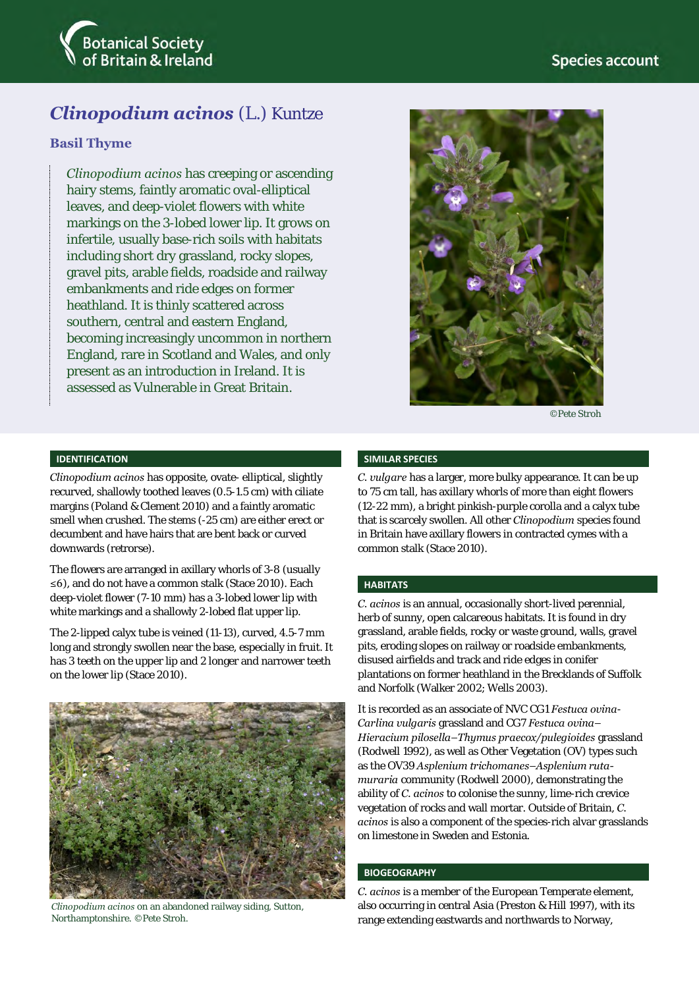

# *Clinopodium acinos* (L.) Kuntze

# **Basil Thyme**

*Clinopodium acinos* has creeping or ascending hairy stems, faintly aromatic oval-elliptical leaves, and deep-violet flowers with white markings on the 3-lobed lower lip. It grows on infertile, usually base-rich soils with habitats including short dry grassland, rocky slopes, gravel pits, arable fields, roadside and railway embankments and ride edges on former heathland. It is thinly scattered across southern, central and eastern England, becoming increasingly uncommon in northern England, rare in Scotland and Wales, and only present as an introduction in Ireland. It is assessed as Vulnerable in Great Britain.



©Pete Stroh

#### **IDENTIFICATION**

*Clinopodium acinos* has opposite, ovate- elliptical, slightly recurved, shallowly toothed leaves (0.5-1.5 cm) with ciliate margins (Poland & Clement 2010) and a faintly aromatic smell when crushed. The stems (-25 cm) are either erect or decumbent and have hairs that are bent back or curved downwards (retrorse).

The flowers are arranged in axillary whorls of 3-8 (usually ≤6), and do not have a common stalk (Stace 2010). Each deep-violet flower (7-10 mm) has a 3-lobed lower lip with white markings and a shallowly 2-lobed flat upper lip.

The 2-lipped calyx tube is veined (11-13), curved, 4.5-7 mm long and strongly swollen near the base, especially in fruit. It has 3 teeth on the upper lip and 2 longer and narrower teeth on the lower lip (Stace 2010).



*Clinopodium acinos* on an abandoned railway siding, Sutton, Northamptonshire. ©Pete Stroh.

#### **SIMILAR SPECIES**

*C. vulgare* has a larger, more bulky appearance. It can be up to 75 cm tall, has axillary whorls of more than eight flowers (12-22 mm), a bright pinkish-purple corolla and a calyx tube that is scarcely swollen. All other *Clinopodium* species found in Britain have axillary flowers in contracted cymes with a common stalk (Stace 2010).

#### **HABITATS**

*C. acinos* is an annual, occasionally short-lived perennial, herb of sunny, open calcareous habitats. It is found in dry grassland, arable fields, rocky or waste ground, walls, gravel pits, eroding slopes on railway or roadside embankments, disused airfields and track and ride edges in conifer plantations on former heathland in the Brecklands of Suffolk and Norfolk (Walker 2002; Wells 2003).

It is recorded as an associate of NVC CG1 *Festuca ovina*-*Carlina vulgaris* grassland and CG7 *Festuca ovina– Hieracium pilosella–Thymus praecox/pulegioides* grassland (Rodwell 1992), as well as Other Vegetation (OV) types such as the OV39 *Asplenium trichomanes–Asplenium rutamuraria* community (Rodwell 2000), demonstrating the ability of *C. acinos* to colonise the sunny, lime-rich crevice vegetation of rocks and wall mortar. Outside of Britain, *C. acinos* is also a component of the species-rich alvar grasslands on limestone in Sweden and Estonia.

#### **BIOGEOGRAPHY**

*C. acinos* is a member of the European Temperate element, also occurring in central Asia (Preston & Hill 1997), with its range extending eastwards and northwards to Norway,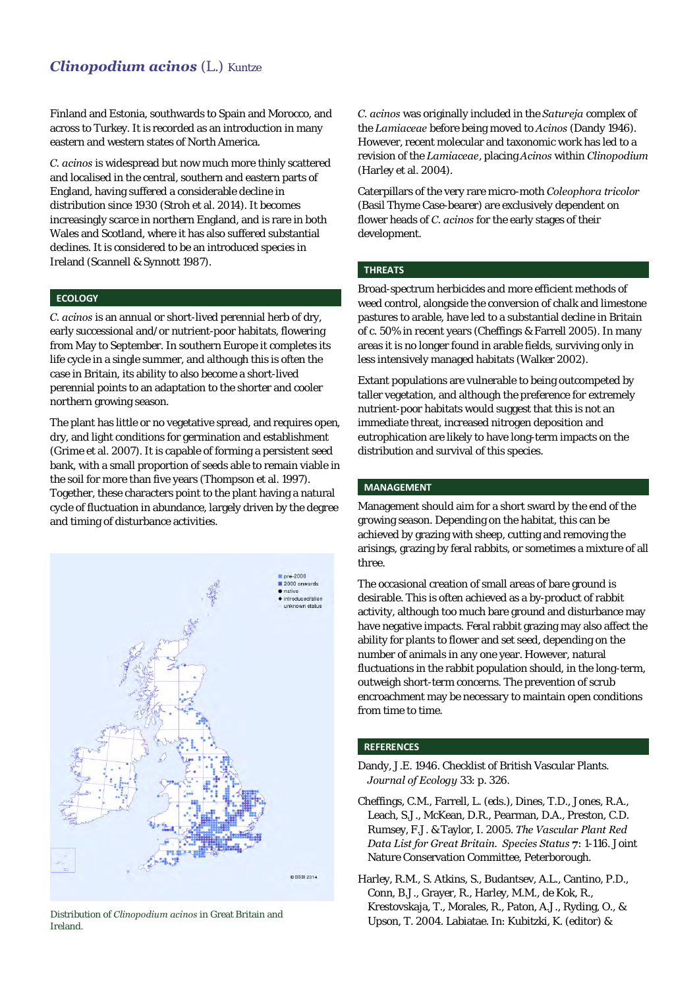# *Clinopodium acinos* (L.) Kuntze

Finland and Estonia, southwards to Spain and Morocco, and across to Turkey. It is recorded as an introduction in many eastern and western states of North America.

*C. acinos* is widespread but now much more thinly scattered and localised in the central, southern and eastern parts of England, having suffered a considerable decline in distribution since 1930 (Stroh et al. 2014). It becomes increasingly scarce in northern England, and is rare in both Wales and Scotland, where it has also suffered substantial declines. It is considered to be an introduced species in Ireland (Scannell & Synnott 1987).

#### **ECOLOGY**

*C. acinos* is an annual or short-lived perennial herb of dry, early successional and/or nutrient-poor habitats, flowering from May to September. In southern Europe it completes its life cycle in a single summer, and although this is often the case in Britain, its ability to also become a short-lived perennial points to an adaptation to the shorter and cooler northern growing season.

The plant has little or no vegetative spread, and requires open, dry, and light conditions for germination and establishment (Grime et al. 2007). It is capable of forming a persistent seed bank, with a small proportion of seeds able to remain viable in the soil for more than five years (Thompson et al. 1997). Together, these characters point to the plant having a natural cycle of fluctuation in abundance, largely driven by the degree and timing of disturbance activities.



Distribution of *Clinopodium acinos* in Great Britain and Ireland.

*C. acinos* was originally included in the *Satureja* complex of the *Lamiaceae* before being moved to *Acinos* (Dandy 1946). However, recent molecular and taxonomic work has led to a revision of the *Lamiaceae*, placing *Acinos* within *Clinopodium* (Harley et al. 2004).

Caterpillars of the very rare micro-moth *Coleophora tricolor*  (Basil Thyme Case-bearer) are exclusively dependent on flower heads of *C. acinos* for the early stages of their development.

#### **THREATS**

Broad-spectrum herbicides and more efficient methods of weed control, alongside the conversion of chalk and limestone pastures to arable, have led to a substantial decline in Britain of c. 50% in recent years (Cheffings & Farrell 2005). In many areas it is no longer found in arable fields, surviving only in less intensively managed habitats (Walker 2002).

Extant populations are vulnerable to being outcompeted by taller vegetation, and although the preference for extremely nutrient-poor habitats would suggest that this is not an immediate threat, increased nitrogen deposition and eutrophication are likely to have long-term impacts on the distribution and survival of this species.

### **MANAGEMENT**

Management should aim for a short sward by the end of the growing season. Depending on the habitat, this can be achieved by grazing with sheep, cutting and removing the arisings, grazing by feral rabbits, or sometimes a mixture of all three.

The occasional creation of small areas of bare ground is desirable. This is often achieved as a by-product of rabbit activity, although too much bare ground and disturbance may have negative impacts. Feral rabbit grazing may also affect the ability for plants to flower and set seed, depending on the number of animals in any one year. However, natural fluctuations in the rabbit population should, in the long-term, outweigh short-term concerns. The prevention of scrub encroachment may be necessary to maintain open conditions from time to time.

#### **REFERENCES**

- Dandy, J.E. 1946. Checklist of British Vascular Plants. *Journal of Ecology* 33: p. 326.
- Cheffings, C.M., Farrell, L. (eds.), Dines, T.D., Jones, R.A., Leach, S.J., McKean, D.R., Pearman, D.A., Preston, C.D. Rumsey, F.J. & Taylor, I. 2005. *The Vascular Plant Red Data List for Great Britain. Species Status* **7**: 1-116. Joint Nature Conservation Committee, Peterborough.
- Harley, R.M., S. Atkins, S., Budantsev, A.L., Cantino, P.D., Conn, B.J., Grayer, R., Harley, M.M., de Kok, R., Krestovskaja, T., Morales, R., Paton, A.J., Ryding, O., & Upson, T. 2004. Labiatae. In: Kubitzki, K. (editor) &